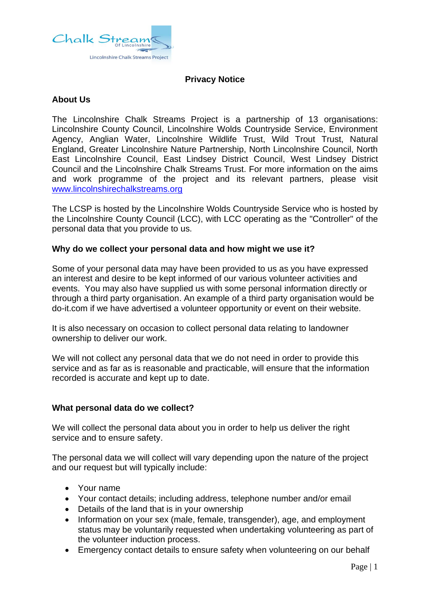

# **Privacy Notice**

## **About Us**

The Lincolnshire Chalk Streams Project is a partnership of 13 organisations: Lincolnshire County Council, Lincolnshire Wolds Countryside Service, Environment Agency, Anglian Water, Lincolnshire Wildlife Trust, Wild Trout Trust, Natural England, Greater Lincolnshire Nature Partnership, North Lincolnshire Council, North East Lincolnshire Council, East Lindsey District Council, West Lindsey District Council and the Lincolnshire Chalk Streams Trust. For more information on the aims and work programme of the project and its relevant partners, please visit [www.lincolnshirechalkstreams.org](http://www.lincolnshirechalkstreams.org/)

The LCSP is hosted by the Lincolnshire Wolds Countryside Service who is hosted by the Lincolnshire County Council (LCC), with LCC operating as the "Controller" of the personal data that you provide to us.

# **Why do we collect your personal data and how might we use it?**

Some of your personal data may have been provided to us as you have expressed an interest and desire to be kept informed of our various volunteer activities and events. You may also have supplied us with some personal information directly or through a third party organisation. An example of a third party organisation would be do-it.com if we have advertised a volunteer opportunity or event on their website.

It is also necessary on occasion to collect personal data relating to landowner ownership to deliver our work.

We will not collect any personal data that we do not need in order to provide this service and as far as is reasonable and practicable, will ensure that the information recorded is accurate and kept up to date.

## **What personal data do we collect?**

We will collect the personal data about you in order to help us deliver the right service and to ensure safety.

The personal data we will collect will vary depending upon the nature of the project and our request but will typically include:

- Your name
- Your contact details; including address, telephone number and/or email
- Details of the land that is in your ownership
- Information on your sex (male, female, transgender), age, and employment status may be voluntarily requested when undertaking volunteering as part of the volunteer induction process.
- Emergency contact details to ensure safety when volunteering on our behalf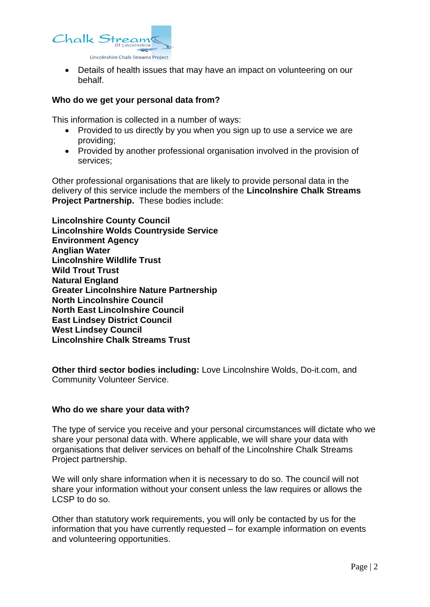

• Details of health issues that may have an impact on volunteering on our behalf.

### **Who do we get your personal data from?**

This information is collected in a number of ways:

- Provided to us directly by you when you sign up to use a service we are providing;
- Provided by another professional organisation involved in the provision of services;

Other professional organisations that are likely to provide personal data in the delivery of this service include the members of the **Lincolnshire Chalk Streams Project Partnership.** These bodies include:

**Lincolnshire County Council Lincolnshire Wolds Countryside Service Environment Agency Anglian Water Lincolnshire Wildlife Trust Wild Trout Trust Natural England Greater Lincolnshire Nature Partnership North Lincolnshire Council North East Lincolnshire Council East Lindsey District Council West Lindsey Council Lincolnshire Chalk Streams Trust**

**Other third sector bodies including:** Love Lincolnshire Wolds, Do-it.com, and Community Volunteer Service.

#### **Who do we share your data with?**

The type of service you receive and your personal circumstances will dictate who we share your personal data with. Where applicable, we will share your data with organisations that deliver services on behalf of the Lincolnshire Chalk Streams Project partnership.

We will only share information when it is necessary to do so. The council will not share your information without your consent unless the law requires or allows the LCSP to do so.

Other than statutory work requirements, you will only be contacted by us for the information that you have currently requested – for example information on events and volunteering opportunities.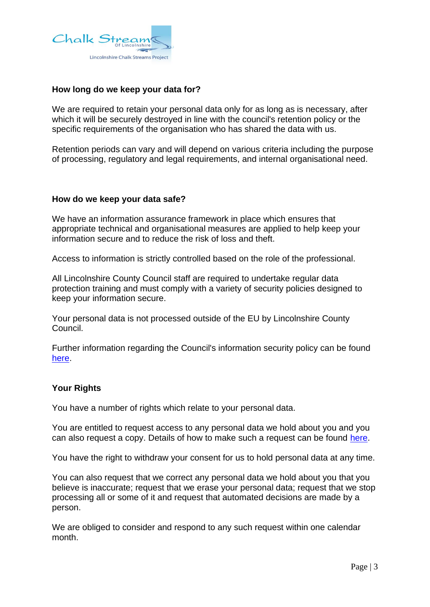

## **How long do we keep your data for?**

We are required to retain your personal data only for as long as is necessary, after which it will be securely destroyed in line with the council's retention policy or the specific requirements of the organisation who has shared the data with us.

Retention periods can vary and will depend on various criteria including the purpose of processing, regulatory and legal requirements, and internal organisational need.

### **How do we keep your data safe?**

We have an information assurance framework in place which ensures that appropriate technical and organisational measures are applied to help keep your information secure and to reduce the risk of loss and theft.

Access to information is strictly controlled based on the role of the professional.

All Lincolnshire County Council staff are required to undertake regular data protection training and must comply with a variety of security policies designed to keep your information secure.

Your personal data is not processed outside of the EU by Lincolnshire County Council.

Further information regarding the Council's information security policy can be found [here.](https://www.lincolnshire.gov.uk/council-councillors/information-security-policy-statement)

## **Your Rights**

You have a number of rights which relate to your personal data.

You are entitled to request access to any personal data we hold about you and you can also request a copy. Details of how to make such a request can be found [here.](https://www.lincolnshire.gov.uk/comments-feedback/make-subject-access-request/1)

You have the right to withdraw your consent for us to hold personal data at any time.

You can also request that we correct any personal data we hold about you that you believe is inaccurate; request that we erase your personal data; request that we stop processing all or some of it and request that automated decisions are made by a person.

We are obliged to consider and respond to any such request within one calendar month.